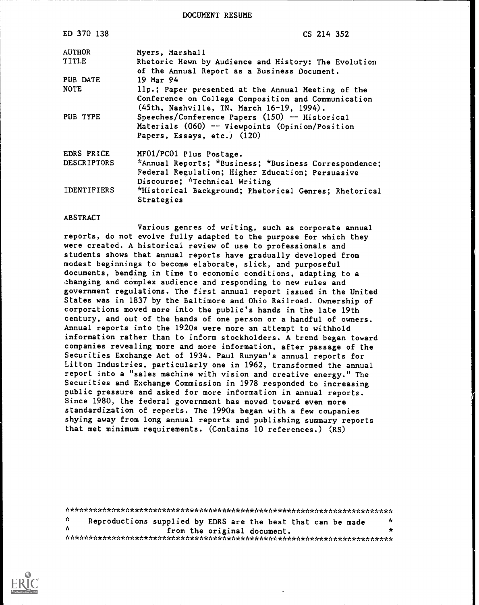DOCUMENT RESUME

| ED 370 138         | CS 214 352                                                                                                                                             |
|--------------------|--------------------------------------------------------------------------------------------------------------------------------------------------------|
| <b>AUTHOR</b>      | Myers, Marshall                                                                                                                                        |
| <b>TITLE</b>       | Rhetoric Hewn by Audience and History: The Evolution<br>of the Annual Report as a Business Document.                                                   |
| PUB DATE           | $19$ Mar $94$                                                                                                                                          |
| <b>NOTE</b>        | 11p.; Paper presented at the Annual Meeting of the<br>Conference on College Composition and Communication<br>(45th, Nashville, TN, March 16-19, 1994). |
| PUB TYPE           | Speeches/Conference Papers (150) -- Historical<br>Materials $(060)$ -- Viewpoints $(0$ pinion/Position<br>Papers, Essays, etc.) (120)                  |
| EDRS PRICE         | MF01/PC01 Plus Postage.                                                                                                                                |
| <b>DESCRIPTORS</b> | *Annual Reports; *Business; *Business Correspondence;<br>Federal Regulation; Higher Education; Persuasive<br>Discourse; *Technical Writing             |
| <b>IDENTIFIERS</b> | *Historical Background; Phetorical Genres; Rhetorical<br>Strategies                                                                                    |

### ABSTRACT

Various genres of writing, such as corporate annual reports, do not evolve fully adapted to the purpose for which they were created. A historical review of use to professionals and students shows that annual reports have gradually developed from modest beginnings to become elaborate, slick, and purposeful documents, bending in time to economic conditions, adapting to a changing and complex audience and responding to new rules and government regulations. The first annual report issued in the United States was in 1837 by the Baltimore and Ohio Railroad. Ownership of corporations moved more into the public's hands in the late 19th century, and out of the hands of one person or a handful of owners. Annual reports into the 1920s were more an attempt to withhold information rather than to inform stockholders. A trend began toward companies revealing more and more information, after passage of the Securities Exchange Act of 1934. Paul Runyan's annual reports for Litton Industries, particularly one in 1962, transformed the annual report into a "sales machine with vision and creative energy." The Securities and Exchange Commission in 1978 responded to increasing public pressure and asked for more information in annual reports. Since 1980, the federal government has moved toward even more standardization of reports. The 1990s began with a few companies shying away from long annual reports and publishing summary reports that met minimum requirements. (Contains 10 references.) (RS)

\*\*\*\*\*\*\*\*\*\*\*\*\*\*\*\*\*\*\*\*\*\*\*\*\*\*\*\*\*\*\*\*\*\*\*\*\*\*\*\*\*\*\*\*\*\*\*\*\*\*\*\*\*\*\*\*\*\*\*\*\*\*\*\*\*\*\*\*\*\*\*  $*$  Reproductions supplied by EDRS are the best that can be made from the original document. \*\*\*\*\*\*\*\*\*\*\*\*\*\*\*\*\*\*\*\*\*\*\*\*\*\*\*\*\*\*\*\*\*\*\*\*\*\*\*\*\*\*\*\*\*\*\*\*\*\*\*\*\*\*\*\*\*\*\*\*\*\*\*\*\*\*\*\*\*\*\*

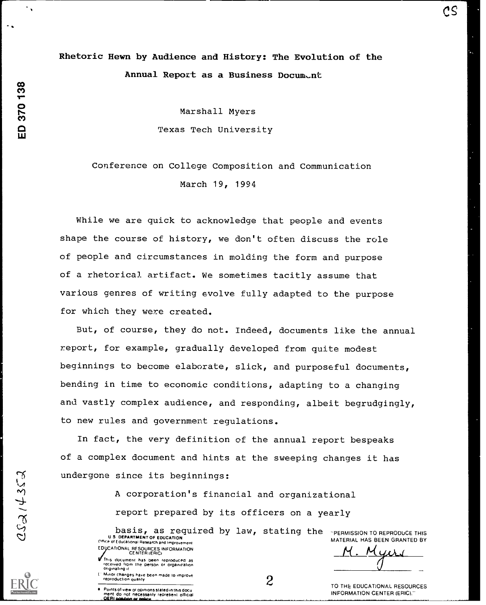# Rhetoric Hewn by Audience and History: The Evolution of the Annual Report as a Business Document

Marshall Myers Texas Tech University

## Conference on College Composition and Communication March 19, 1994

While we are quick to acknowledge that people and events shape the course of history, we don't often discuss the role of people and circumstances in molding the form and purpose of a rhetorical artifact. We sometimes tacitly assume that various genres of writing evolve fully adapted to the purpose for which they were created.

But, of course, they do not. Indeed, documents like the annual report, for example, gradually developed from quite modest beginnings to become elaborate, slick, and purposeful documents, bending in time to economic conditions, adapting to a changing and vastly complex audience, and responding, albeit begrudgingly, to new rules and government regulations.

In fact, the very definition of the annual report bespeaks of a complex document and hints at the sweeping changes it has undergone since its beginnings:

> A corporation's financial and organizational report prepared by its officers on a yearly

basis, as required by law, stating the "PERMISSION TO REPRODUCE THIS<br>S DEPARTMENT OF EDUCATION<br>Educational Research and Incorences U S DEPARTMENT OF EDUCATION Office of Educational Research and Improven EDUCATIONAL RESOURCES INFORMATION<br>CENTER (ERIC)

Inis document has been reproduced as<br>, received from the person or organization<br>, originating it

L' Minor changes have been made to improve.<br>- reproduction quality

Points of view or opinions stated in this document do not necessarily represent official<br>OERI position or policie and comparison the

CS

<u>Myer</u>

2 TO THE EDUCATIONAL RESOURCES INFORMATION CENTER (ERIC)."

ED 370 138

 $\ddot{\phantom{0}}$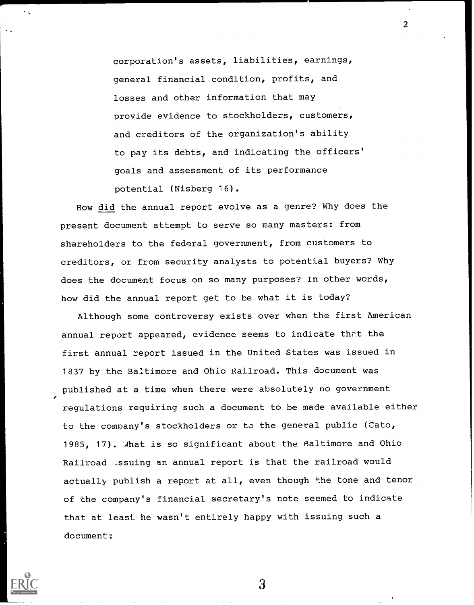corporation's assets, liabilities, earnings, general financial condition, profits, and losses and other information that may provide evidence to stockholders, customers, and creditors of the organization's ability to pay its debts, and indicating the officers' goals and assessment of its performance potential (Nisberg 16).

2

How did the annual report evolve as a genre? Why does the present document attempt to serve so many masters: from shareholders to the federal government, from customers to creditors, or from security analysts to potential buyers? Why does the document focus on so many purposes? In other words, how did the annual report get to be what it is today?

Although some controversy exists over when the first American annual report appeared, evidence seems to indicate that the first annual report issued in the United States was issued in 1837 by the Baltimore and Ohio Railroad. This document was published at a time when there were absolutely no government regulations requiring such a document to be made available either to the company's stockholders or to the general public (Cato, 1985, 17). What is so significant about the Baltimore and Ohio Railroad .ssuing an annual report is that the railroad would actually publish a report at all, even though the tone and tenor of the company's financial secretary's note seemed to indicate that at least he wasn't entirely happy with issuing such a document:



 $\mathfrak{Z}$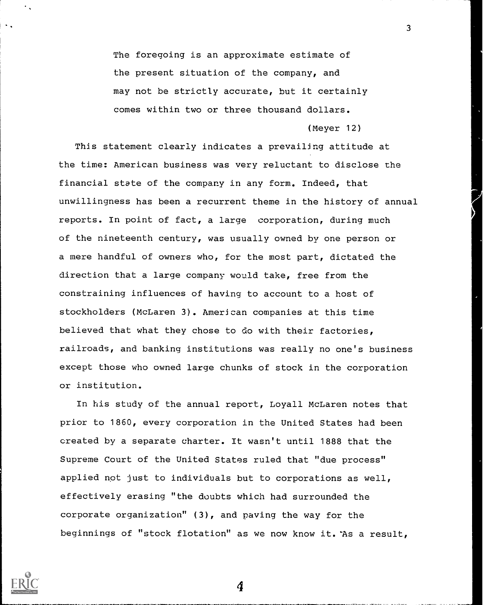The foregoing is an approximate estimate of the present situation of the company, and may not be strictly accurate, but it certainly comes within two or three thousand dollars.

(Meyer 12)

 $\overline{3}$ 

This statement clearly indicates a prevailing attitude at the time: American business was very reluctant to disclose the financial state of the company in any form. Indeed, that unwillingness has been a recurrent theme in the history of annual reports. In point of fact, a large corporation, during much of the nineteenth century, was usually owned by one person or a mere handful of owners who, for the most part, dictated the direction that a large company would take, free from the constraining influences of having to account to a host of stockholders (McLaren 3). American companies at this time believed that what they chose to do with their factories, railroads, and banking institutions was really no one's business except those who owned large chunks of stock in the corporation or institution.

In his study of the annual report, Loyall McLaren notes that prior to 1860, every corporation in the United States had been created by a separate charter. It wasn't until 1888 that the Supreme Court of the United States ruled that "due process" applied not just to individuals but to corporations as well, effectively erasing "the doubts which had surrounded the corporate organization" (3), and paving the way for the beginnings of "stock flotation" as we now know it. 'As a result,

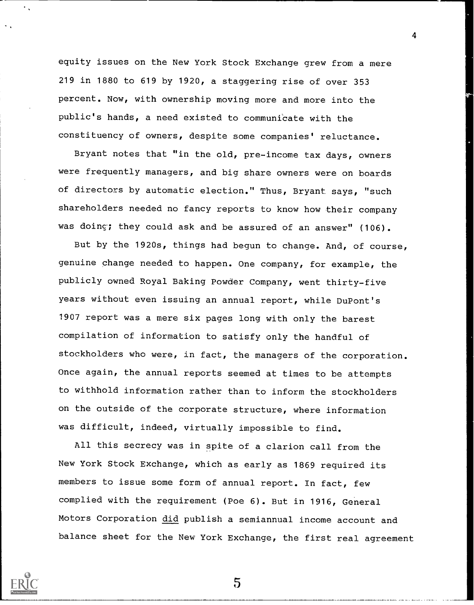equity issues on the New York Stock Exchange grew from a mere 219 in 1880 to 619 by 1920, a staggering rise of over 353 percent. Now, with ownership moving more and more into the public's hands, a need existed to communicate with the constituency of owners, despite some companies' reluctance.

Bryant notes that "in the old, pre-income tax days, owners were frequently managers, and big share owners were on boards of directors by automatic election." Thus, Bryant says, "such shareholders needed no fancy reports to know how their company was doing; they could ask and be assured of an answer" (106).

But by the 1920s, things had begun to change. And, of course, genuine change needed to happen. One company, for example, the publicly owned Royal Baking Powder Company, went thirty-five years without even issuing an annual report, while DuPont's 1907 report was a mere six pages long with only the barest compilation of information to satisfy only the handful of stockholders who were, in fact, the managers of the corporation. Once again, the annual reports seemed at times to be attempts to withhold information rather than to inform the stockholders on the outside of the corporate structure, where information was difficult, indeed, virtually impossible to find.

All this secrecy was in spite of a clarion call from the New York Stock Exchange, which as early as 1869 required its members to issue some form of annual report. In fact, few complied with the requirement (Poe 6). But in 1916, General Motors Corporation did publish a semiannual income account and balance sheet for the New York Exchange, the first real agreement

5

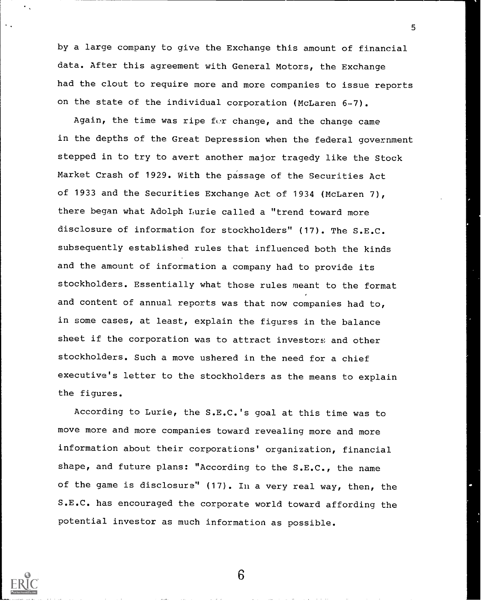by a large company to give the Exchange this amount of financial data. After this agreement with General Motors, the Exchange had the clout to require more and more companies to issue reports on the state of the individual corporation (McLaren 6-7).

5

Again, the time was ripe for change, and the change came in the depths of the Great Depression when the federal government stepped in to try to avert another major tragedy like the Stock Market Crash of 1929. With the passage of the Securities Act of 1933 and the Securities Exchange Act of 1934 (McLaren 7), there began what Adolph Lurie called a "trend toward more disclosure of information for stockholders" (17). The S.E.C. subsequently established rules that influenced both the kinds and the amount of information a company had to provide its stockholders. Essentially what those rules meant to the format and content of annual reports was that now companies had to, in some cases, at least, explain the figures in the balance sheet if the corporation was to attract investors and other stockholders. Such a move ushered in the need for a chief executive's letter to the stockholders as the means to explain the figures.

According to Lurie, the S.E.C.'s goal at this time was to move more and more companies toward revealing more and more information about their corporations' organization, financial shape, and future plans: "According to the S.E.C., the name of the game is disclosure" (17). In a very real way, then, the S.E.C. has encouraged the corporate world toward affording the potential investor as much information as possible.

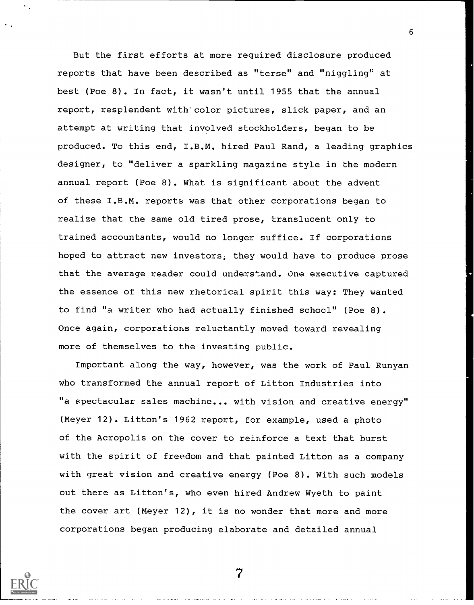But the first efforts at more required disclosure produced reports that have been described as "terse" and "niggling" at best (Poe 8). In fact, it wasn't until 1955 that the annual report, resplendent with'color pictures, slick paper, and an attempt at writing that involved stockholders, began to be produced. To this end, I.B.M. hired Paul Rand, a leading graphics designer, to "deliver a sparkling magazine style in the modern annual report (Poe 8). What is significant about the advent of these I.B.M. reports was that other corporations began to realize that the same old tired prose, translucent only to trained accountants, would no longer suffice. If corporations hoped to attract new investors, they would have to produce prose that the average reader could understand. One executive captured the essence of this new rhetorical spirit this way: They wanted to find "a writer who had actually finished schocl" (Poe 8). Once again, corporations reluctantly moved toward revealing more of themselves to the investing public.

6

Important along the way, however, was the work of Paul Runyan who transformed the annual report of Litton Industries into "a spectacular sales machine... with vision and creative energy" (Meyer 12). Litton's 1962 report, for example, used a photo of the Acropolis on the cover to reinforce a text that burst with the spirit of freedom and that painted Litton as a company with great vision and creative energy (Poe 8). With such models out there as Litton's, who even hired Andrew Wyeth to paint the cover art (Meyer 12), it is no wonder that more and more corporations began producing elaborate and detailed annual

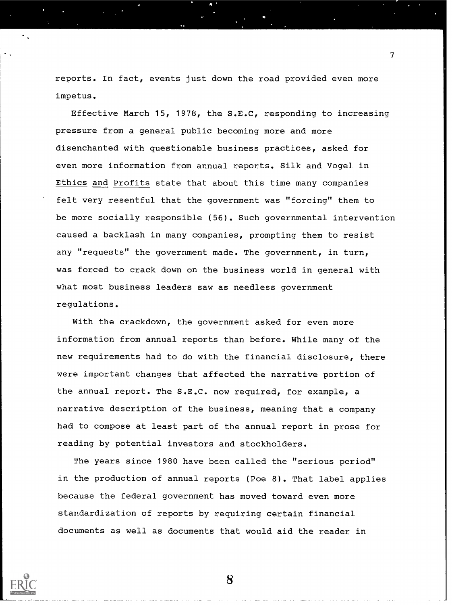reports. In fact, events just down the road provided even more impetus.

7

Effective March 15, 1978, the S.E.C, responding to increasing pressure from a general public becoming more and more disenchanted with questionable business practices, asked for even more information from annual reports. Silk and Vogel in Ethics and Profits state that about this time many companies felt very resentful that the government was "forcing" them to be more socially responsible (56). Such governmental intervention caused a backlash in many companies, prompting them to resist any "requests" the government made. The government, in turn, was forced to crack down on the business world in general with what most business leaders saw as needless government regulations.

With the crackdown, the government asked for even more information from annual reports than before. While many of the new requirements had to do with the financial disclosure, there were important changes that affected the narrative portion of the annual report. The S.E.C. now required, for example, a narrative description of the business, meaning that a company had to compose at least part of the annual report in prose for reading by potential investors and stockholders.

The years since 1980 have been called the "serious period" in the production of annual reports (Poe 8). That label applies because the federal government has moved toward even more standardization of reports by requiring certain financial documents as well as documents that would aid the reader in

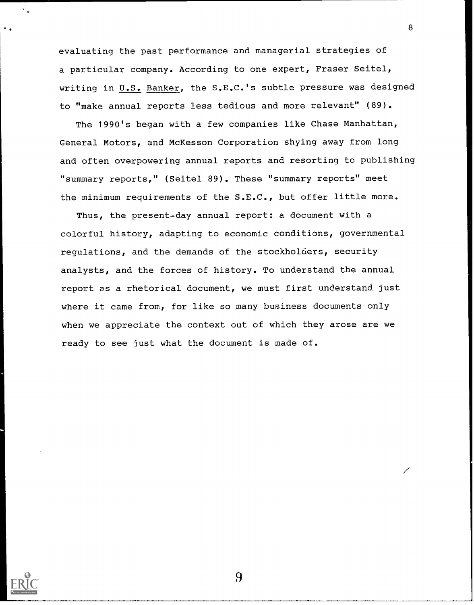evaluating the past performance and managerial strategies of a particular company. According to one expert, Fraser Seitel, writing in U.S. Banker, the S.E.C.'s subtle pressure was designed to "make annual reports less tedious and more relevant" (89).

8

The 1990's began with a few companies like Chase Manhattan, General Motors, and McKesson Corporation shying away from long and often overpowering annual reports and resorting to publishing "summary reports," (Seitel 89). These "summary reports" meet the minimum requirements of the S.E.C., but offer little more.

Thus, the present-day annual report: a document with a colorful history, adapting to economic conditions, governmental regulations, and the demands of the stockholders, security analysts, and the forces of history. To understand the annual report as a rhetorical document, we must first understand just where it came from, for like so many business documents only when we appreciate the context out of which they arose are we ready to see just what the document is made of.

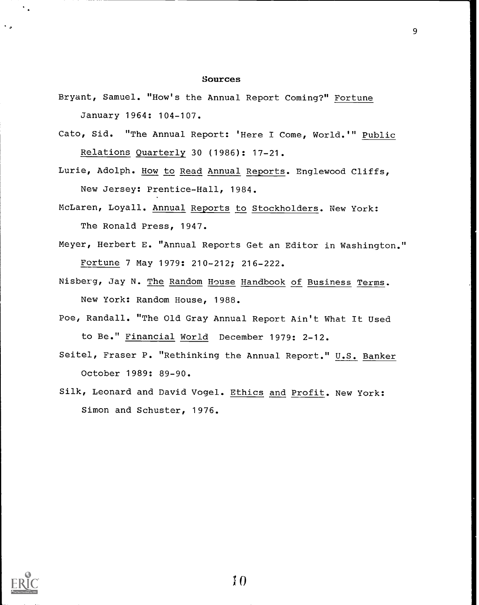### Sources

- Bryant, Samuel. "How's the Annual Report Coming?" Fortune January 1964: 104-107.
- Cato, Sid. "The Annual Report: 'Here I Come, World.'" Public Relations Quarterly 30 (1986): 17-21.
- Lurie, Adolph. How to Read Annual Reports. Englewood Cliffs, New Jersey: Prentice-Hall, 1984.
- McLaren, Loyall. Annual Reports to Stockholders. New York: The Ronald Press, 1947.
- Meyer, Herbert E. "Annual Reports Get an Editor in Washington." Fortune 7 May 1979: 210-212; 216-222.
- Nisberg, Jay N. The Random House Handbook of Business Terms. New York: Random House, 1988.
- Poe, Randall. "The Old Gray Annual Report Ain't What It Used to Be." Financial World December 1979: 2-12.
- Seitel, Fraser P. "Rethinking the Annual Report." U.S. Banker October 1989: 89-90.
- Silk, Leonard and David Vogel. Ethics and Profit. New York: Simon and Schuster, 1976.